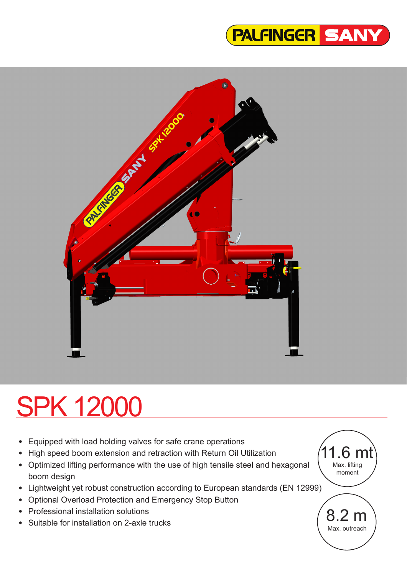



# SPK 12000

- Equipped with load holding valves for safe crane operations
- High speed boom extension and retraction with Return Oil Utilization
- Optimized lifting performance with the use of high tensile steel and hexagonal boom design
- Lightweight yet robust construction according to European standards (EN 12999)
- Optional Overload Protection and Emergency Stop Button
- Professional installation solutions
- Suitable for installation on 2-axle trucks

 $1.6<sub>m</sub>$ Max. lifting moment

> 8.2 m Max. outreach